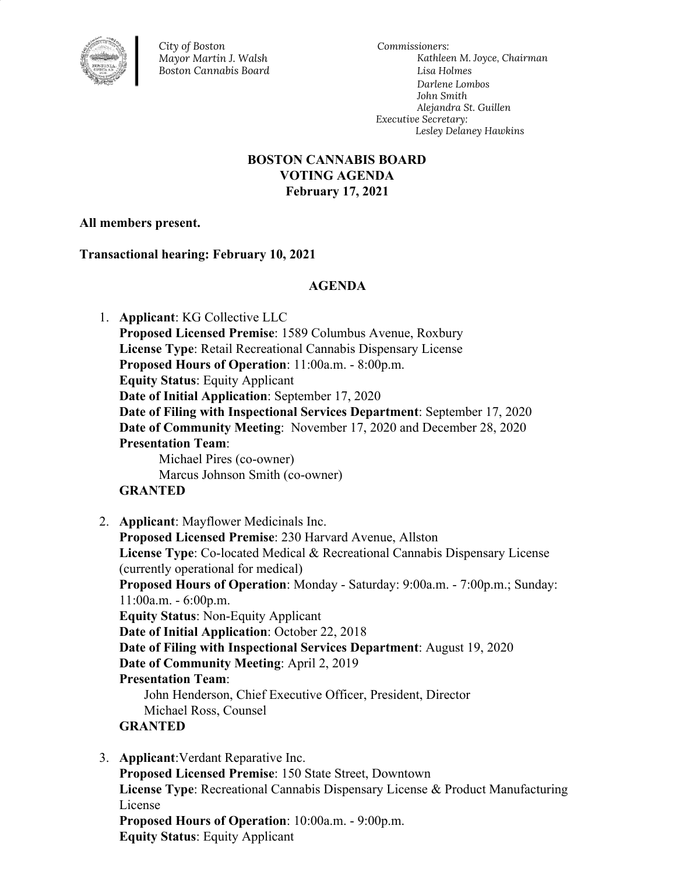

*City of Boston Mayor Martin J. Walsh Boston Cannabis Board*

*Commissioners: Kathleen M. Joyce, Chairman Lisa Holmes Darlene Lombos John Smith Alejandra St. Guillen Executive Secretary: Lesley Delaney Hawkins*

# **BOSTON CANNABIS BOARD VOTING AGENDA February 17, 2021**

## **All members present.**

**Transactional hearing: February 10, 2021**

## **AGENDA**

1. **Applicant**: KG Collective LLC **Proposed Licensed Premise**: 1589 Columbus Avenue, Roxbury **License Type**: Retail Recreational Cannabis Dispensary License **Proposed Hours of Operation**: 11:00a.m. - 8:00p.m. **Equity Status**: Equity Applicant **Date of Initial Application**: September 17, 2020 **Date of Filing with Inspectional Services Department**: September 17, 2020 **Date of Community Meeting**: November 17, 2020 and December 28, 2020 **Presentation Team**: Michael Pires (co-owner) Marcus Johnson Smith (co-owner) **GRANTED** 2. **Applicant**: Mayflower Medicinals Inc. **Proposed Licensed Premise**: 230 Harvard Avenue, Allston **License Type**: Co-located Medical & Recreational Cannabis Dispensary License (currently operational for medical) **Proposed Hours of Operation**: Monday - Saturday: 9:00a.m. - 7:00p.m.; Sunday: 11:00a.m. - 6:00p.m. **Equity Status**: Non-Equity Applicant **Date of Initial Application**: October 22, 2018 **Date of Filing with Inspectional Services Department**: August 19, 2020 **Date of Community Meeting**: April 2, 2019 **Presentation Team**: John Henderson, Chief Executive Officer, President, Director Michael Ross, Counsel **GRANTED**

3. **Applicant**:Verdant Reparative Inc.

**Proposed Licensed Premise**: 150 State Street, Downtown **License Type**: Recreational Cannabis Dispensary License & Product Manufacturing License **Proposed Hours of Operation**: 10:00a.m. - 9:00p.m. **Equity Status**: Equity Applicant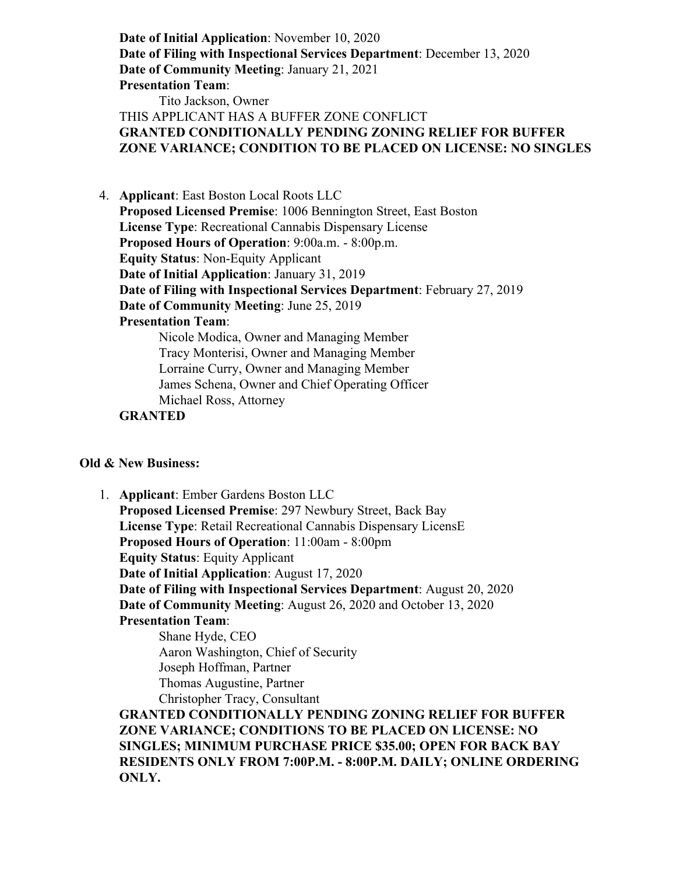**Date of Initial Application**: November 10, 2020 **Date of Filing with Inspectional Services Department**: December 13, 2020 **Date of Community Meeting**: January 21, 2021 **Presentation Team**: Tito Jackson, Owner THIS APPLICANT HAS A BUFFER ZONE CONFLICT **GRANTED CONDITIONALLY PENDING ZONING RELIEF FOR BUFFER ZONE VARIANCE; CONDITION TO BE PLACED ON LICENSE: NO SINGLES**

- 4. **Applicant**: East Boston Local Roots LLC **Proposed Licensed Premise**: 1006 Bennington Street, East Boston **License Type**: Recreational Cannabis Dispensary License **Proposed Hours of Operation**: 9:00a.m. - 8:00p.m. **Equity Status**: Non-Equity Applicant **Date of Initial Application**: January 31, 2019 **Date of Filing with Inspectional Services Department**: February 27, 2019 **Date of Community Meeting**: June 25, 2019 **Presentation Team**: Nicole Modica, Owner and Managing Member Tracy Monterisi, Owner and Managing Member Lorraine Curry, Owner and Managing Member James Schena, Owner and Chief Operating Officer
	- Michael Ross, Attorney
	- **GRANTED**

#### **Old & New Business:**

1. **Applicant**: Ember Gardens Boston LLC **Proposed Licensed Premise**: 297 Newbury Street, Back Bay **License Type**: Retail Recreational Cannabis Dispensary LicensE **Proposed Hours of Operation**: 11:00am - 8:00pm **Equity Status**: Equity Applicant **Date of Initial Application**: August 17, 2020 **Date of Filing with Inspectional Services Department**: August 20, 2020 **Date of Community Meeting**: August 26, 2020 and October 13, 2020 **Presentation Team**: Shane Hyde, CEO

Aaron Washington, Chief of Security Joseph Hoffman, Partner Thomas Augustine, Partner Christopher Tracy, Consultant

**GRANTED CONDITIONALLY PENDING ZONING RELIEF FOR BUFFER ZONE VARIANCE; CONDITIONS TO BE PLACED ON LICENSE: NO SINGLES; MINIMUM PURCHASE PRICE \$35.00; OPEN FOR BACK BAY RESIDENTS ONLY FROM 7:00P.M. - 8:00P.M. DAILY; ONLINE ORDERING ONLY.**